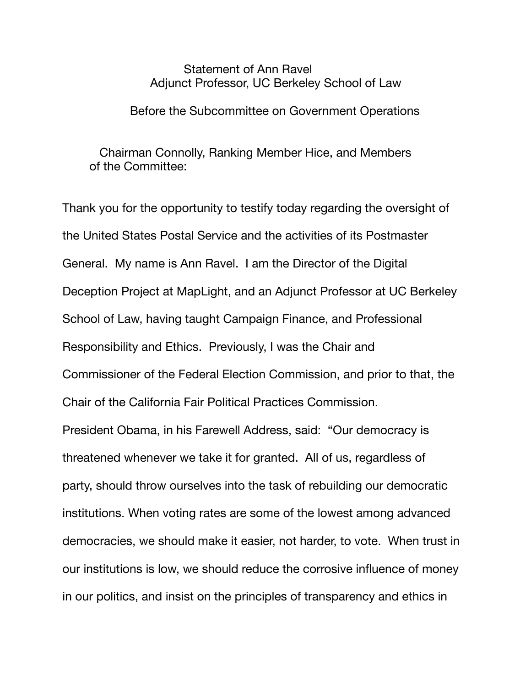## Statement of Ann Ravel Adjunct Professor, UC Berkeley School of Law

## Before the Subcommittee on Government Operations

 Chairman Connolly, Ranking Member Hice, and Members of the Committee:

Thank you for the opportunity to testify today regarding the oversight of the United States Postal Service and the activities of its Postmaster General. My name is Ann Ravel. I am the Director of the Digital Deception Project at MapLight, and an Adjunct Professor at UC Berkeley School of Law, having taught Campaign Finance, and Professional Responsibility and Ethics. Previously, I was the Chair and Commissioner of the Federal Election Commission, and prior to that, the Chair of the California Fair Political Practices Commission. President Obama, in his Farewell Address, said: "Our democracy is

threatened whenever we take it for granted. All of us, regardless of party, should throw ourselves into the task of rebuilding our democratic institutions. When voting rates are some of the lowest among advanced democracies, we should make it easier, not harder, to vote. When trust in our institutions is low, we should reduce the corrosive influence of money in our politics, and insist on the principles of transparency and ethics in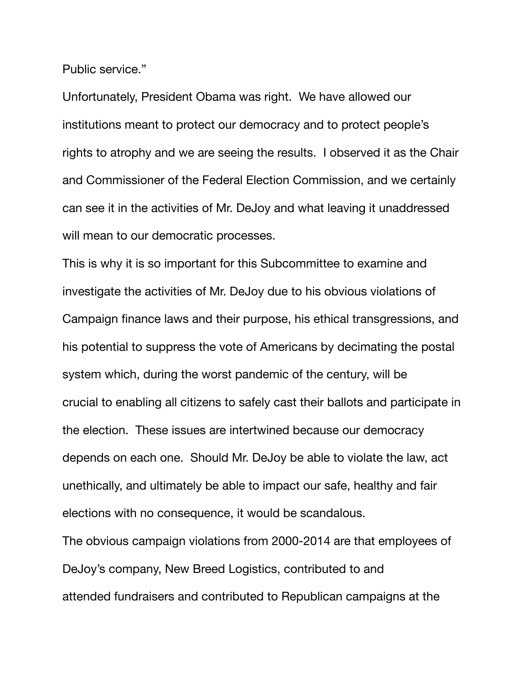Public service."

Unfortunately, President Obama was right. We have allowed our institutions meant to protect our democracy and to protect people's rights to atrophy and we are seeing the results. I observed it as the Chair and Commissioner of the Federal Election Commission, and we certainly can see it in the activities of Mr. DeJoy and what leaving it unaddressed will mean to our democratic processes.

This is why it is so important for this Subcommittee to examine and investigate the activities of Mr. DeJoy due to his obvious violations of Campaign finance laws and their purpose, his ethical transgressions, and his potential to suppress the vote of Americans by decimating the postal system which, during the worst pandemic of the century, will be crucial to enabling all citizens to safely cast their ballots and participate in the election. These issues are intertwined because our democracy depends on each one. Should Mr. DeJoy be able to violate the law, act unethically, and ultimately be able to impact our safe, healthy and fair elections with no consequence, it would be scandalous.

The obvious campaign violations from 2000-2014 are that employees of DeJoy's company, New Breed Logistics, contributed to and attended fundraisers and contributed to Republican campaigns at the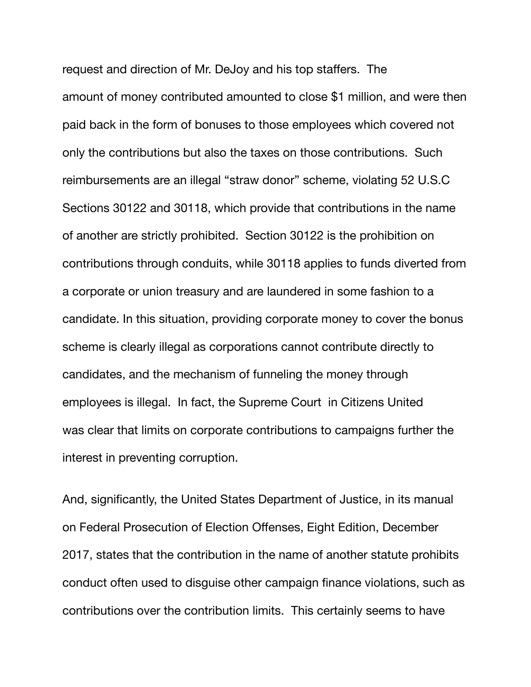request and direction of Mr. DeJoy and his top staffers. The amount of money contributed amounted to close \$1 million, and were then paid back in the form of bonuses to those employees which covered not only the contributions but also the taxes on those contributions. Such reimbursements are an illegal "straw donor" scheme, violating 52 U.S.C Sections 30122 and 30118, which provide that contributions in the name of another are strictly prohibited. Section 30122 is the prohibition on contributions through conduits, while 30118 applies to funds diverted from a corporate or union treasury and are laundered in some fashion to a candidate. In this situation, providing corporate money to cover the bonus scheme is clearly illegal as corporations cannot contribute directly to candidates, and the mechanism of funneling the money through employees is illegal. In fact, the Supreme Court in Citizens United was clear that limits on corporate contributions to campaigns further the interest in preventing corruption.

And, significantly, the United States Department of Justice, in its manual on Federal Prosecution of Election Offenses, Eight Edition, December 2017, states that the contribution in the name of another statute prohibits conduct often used to disguise other campaign finance violations, such as contributions over the contribution limits. This certainly seems to have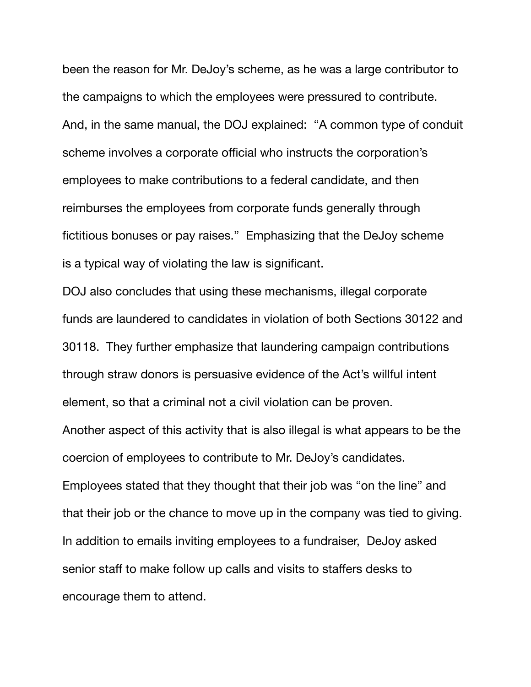been the reason for Mr. DeJoy's scheme, as he was a large contributor to the campaigns to which the employees were pressured to contribute. And, in the same manual, the DOJ explained: "A common type of conduit scheme involves a corporate official who instructs the corporation's employees to make contributions to a federal candidate, and then reimburses the employees from corporate funds generally through fictitious bonuses or pay raises." Emphasizing that the DeJoy scheme is a typical way of violating the law is significant.

DOJ also concludes that using these mechanisms, illegal corporate funds are laundered to candidates in violation of both Sections 30122 and 30118. They further emphasize that laundering campaign contributions through straw donors is persuasive evidence of the Act's willful intent element, so that a criminal not a civil violation can be proven.

Another aspect of this activity that is also illegal is what appears to be the coercion of employees to contribute to Mr. DeJoy's candidates.

Employees stated that they thought that their job was "on the line" and that their job or the chance to move up in the company was tied to giving. In addition to emails inviting employees to a fundraiser, DeJoy asked senior staff to make follow up calls and visits to staffers desks to encourage them to attend.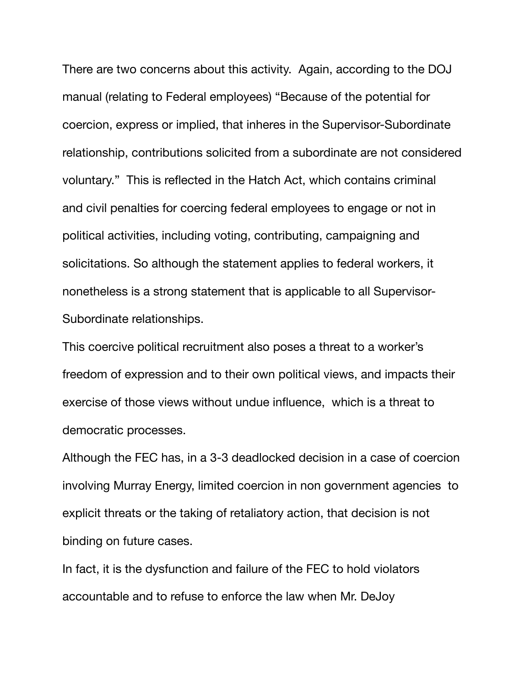There are two concerns about this activity. Again, according to the DOJ manual (relating to Federal employees) "Because of the potential for coercion, express or implied, that inheres in the Supervisor-Subordinate relationship, contributions solicited from a subordinate are not considered voluntary." This is reflected in the Hatch Act, which contains criminal and civil penalties for coercing federal employees to engage or not in political activities, including voting, contributing, campaigning and solicitations. So although the statement applies to federal workers, it nonetheless is a strong statement that is applicable to all Supervisor-Subordinate relationships.

This coercive political recruitment also poses a threat to a worker's freedom of expression and to their own political views, and impacts their exercise of those views without undue influence, which is a threat to democratic processes.

Although the FEC has, in a 3-3 deadlocked decision in a case of coercion involving Murray Energy, limited coercion in non government agencies to explicit threats or the taking of retaliatory action, that decision is not binding on future cases.

In fact, it is the dysfunction and failure of the FEC to hold violators accountable and to refuse to enforce the law when Mr. DeJoy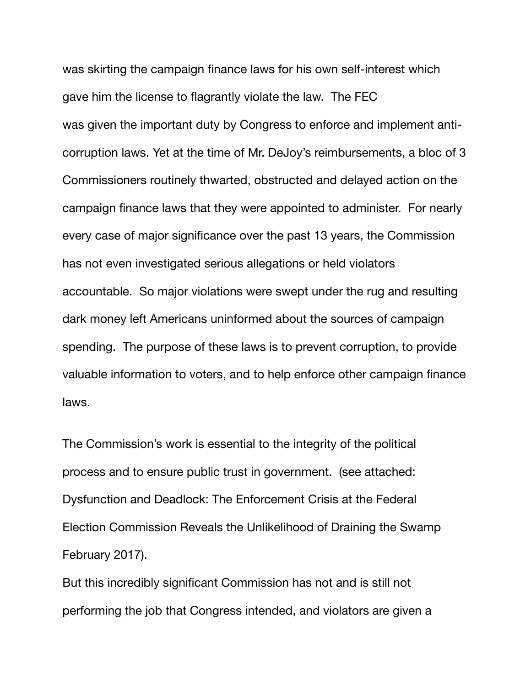was skirting the campaign finance laws for his own self-interest which gave him the license to flagrantly violate the law. The FEC was given the important duty by Congress to enforce and implement anticorruption laws. Yet at the time of Mr. DeJoy's reimbursements, a bloc of 3 Commissioners routinely thwarted, obstructed and delayed action on the campaign finance laws that they were appointed to administer. For nearly every case of major significance over the past 13 years, the Commission has not even investigated serious allegations or held violators accountable. So major violations were swept under the rug and resulting dark money left Americans uninformed about the sources of campaign spending. The purpose of these laws is to prevent corruption, to provide valuable information to voters, and to help enforce other campaign finance laws.

The Commission's work is essential to the integrity of the political process and to ensure public trust in government. (see attached: Dysfunction and Deadlock: The Enforcement Crisis at the Federal Election Commission Reveals the Unlikelihood of Draining the Swamp February 2017).

But this incredibly significant Commission has not and is still not performing the job that Congress intended, and violators are given a